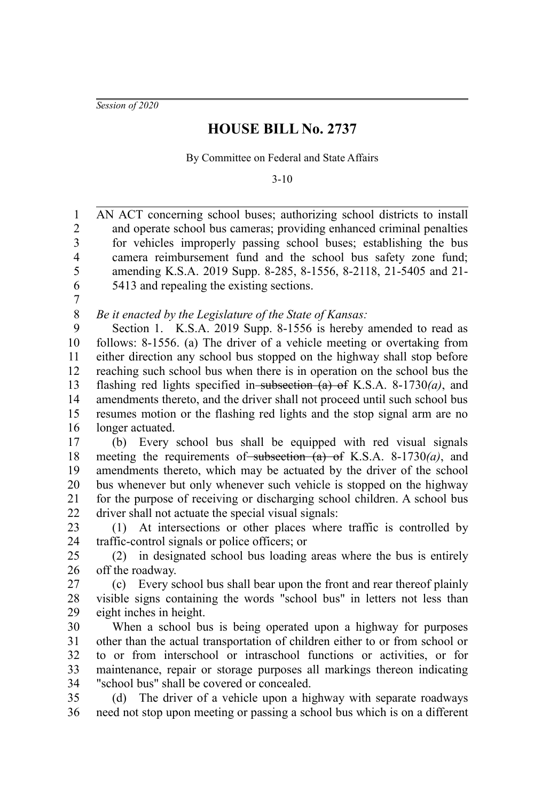*Session of 2020*

## **HOUSE BILL No. 2737**

By Committee on Federal and State Affairs

3-10

AN ACT concerning school buses; authorizing school districts to install and operate school bus cameras; providing enhanced criminal penalties for vehicles improperly passing school buses; establishing the bus camera reimbursement fund and the school bus safety zone fund; amending K.S.A. 2019 Supp. 8-285, 8-1556, 8-2118, 21-5405 and 21- 5413 and repealing the existing sections. 1 2 3 4 5 6

7

*Be it enacted by the Legislature of the State of Kansas:* 8

Section 1. K.S.A. 2019 Supp. 8-1556 is hereby amended to read as follows: 8-1556. (a) The driver of a vehicle meeting or overtaking from either direction any school bus stopped on the highway shall stop before reaching such school bus when there is in operation on the school bus the flashing red lights specified in subsection (a) of K.S.A. 8-1730*(a)*, and amendments thereto, and the driver shall not proceed until such school bus resumes motion or the flashing red lights and the stop signal arm are no longer actuated. 9 10 11 12 13 14 15 16

(b) Every school bus shall be equipped with red visual signals meeting the requirements of subsection (a) of K.S.A. 8-1730(a), and amendments thereto, which may be actuated by the driver of the school bus whenever but only whenever such vehicle is stopped on the highway for the purpose of receiving or discharging school children. A school bus driver shall not actuate the special visual signals: 17 18 19 20 21 22

(1) At intersections or other places where traffic is controlled by traffic-control signals or police officers; or 23 24

(2) in designated school bus loading areas where the bus is entirely off the roadway. 25 26

(c) Every school bus shall bear upon the front and rear thereof plainly visible signs containing the words "school bus" in letters not less than eight inches in height. 27 28 29

When a school bus is being operated upon a highway for purposes other than the actual transportation of children either to or from school or to or from interschool or intraschool functions or activities, or for maintenance, repair or storage purposes all markings thereon indicating "school bus" shall be covered or concealed. 30 31 32 33 34

(d) The driver of a vehicle upon a highway with separate roadways need not stop upon meeting or passing a school bus which is on a different 35 36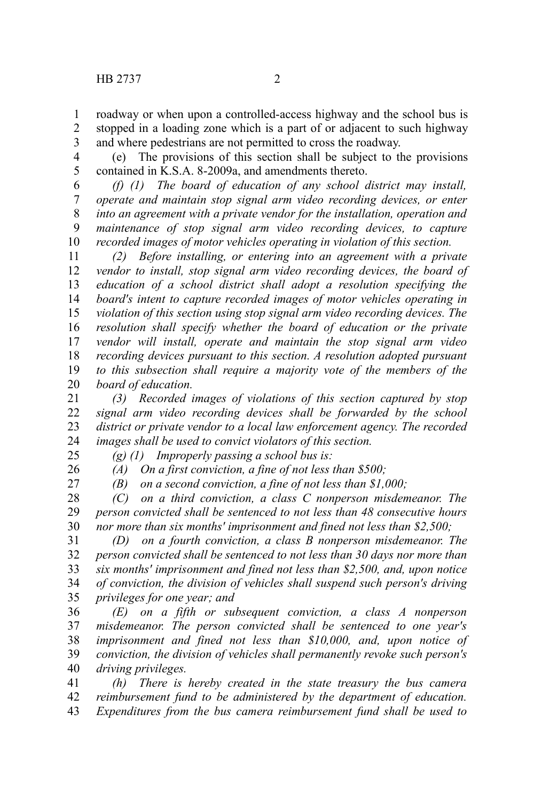roadway or when upon a controlled-access highway and the school bus is stopped in a loading zone which is a part of or adjacent to such highway and where pedestrians are not permitted to cross the roadway. 1 2 3

(e) The provisions of this section shall be subject to the provisions contained in K.S.A. 8-2009a, and amendments thereto. 4 5

*(f) (1) The board of education of any school district may install, operate and maintain stop signal arm video recording devices, or enter into an agreement with a private vendor for the installation, operation and maintenance of stop signal arm video recording devices, to capture recorded images of motor vehicles operating in violation of this section.* 6 7 8 9 10

*(2) Before installing, or entering into an agreement with a private vendor to install, stop signal arm video recording devices, the board of education of a school district shall adopt a resolution specifying the board's intent to capture recorded images of motor vehicles operating in violation of this section using stop signal arm video recording devices. The resolution shall specify whether the board of education or the private vendor will install, operate and maintain the stop signal arm video recording devices pursuant to this section. A resolution adopted pursuant to this subsection shall require a majority vote of the members of the board of education.* 11 12 13 14 15 16 17 18 19 20

*(3) Recorded images of violations of this section captured by stop signal arm video recording devices shall be forwarded by the school district or private vendor to a local law enforcement agency. The recorded images shall be used to convict violators of this section.* 21 22 23 24

25

*(g) (1) Improperly passing a school bus is:*

26

*(A) On a first conviction, a fine of not less than \$500; (B) on a second conviction, a fine of not less than \$1,000;*

27

*(C) on a third conviction, a class C nonperson misdemeanor. The person convicted shall be sentenced to not less than 48 consecutive hours nor more than six months' imprisonment and fined not less than \$2,500;* 28 29 30

*(D) on a fourth conviction, a class B nonperson misdemeanor. The person convicted shall be sentenced to not less than 30 days nor more than six months' imprisonment and fined not less than \$2,500, and, upon notice of conviction, the division of vehicles shall suspend such person's driving privileges for one year; and* 31 32 33 34 35

*(E) on a fifth or subsequent conviction, a class A nonperson misdemeanor. The person convicted shall be sentenced to one year's imprisonment and fined not less than \$10,000, and, upon notice of conviction, the division of vehicles shall permanently revoke such person's driving privileges.* 36 37 38 39 40

*(h) There is hereby created in the state treasury the bus camera reimbursement fund to be administered by the department of education. Expenditures from the bus camera reimbursement fund shall be used to* 41 42 43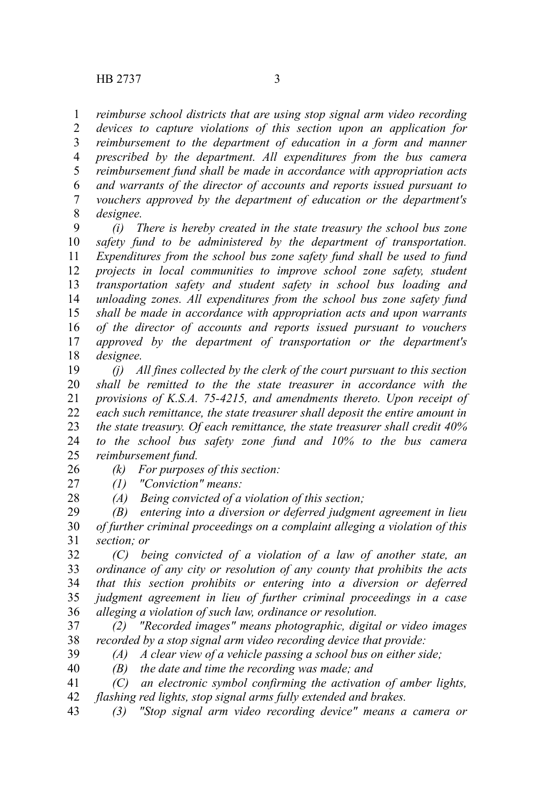*reimburse school districts that are using stop signal arm video recording devices to capture violations of this section upon an application for reimbursement to the department of education in a form and manner prescribed by the department. All expenditures from the bus camera reimbursement fund shall be made in accordance with appropriation acts and warrants of the director of accounts and reports issued pursuant to vouchers approved by the department of education or the department's designee.* 1 2 3 4 5 6 7 8

*(i) There is hereby created in the state treasury the school bus zone safety fund to be administered by the department of transportation. Expenditures from the school bus zone safety fund shall be used to fund projects in local communities to improve school zone safety, student transportation safety and student safety in school bus loading and unloading zones. All expenditures from the school bus zone safety fund shall be made in accordance with appropriation acts and upon warrants of the director of accounts and reports issued pursuant to vouchers approved by the department of transportation or the department's designee.* 9 10 11 12 13 14 15 16 17 18

*(j) All fines collected by the clerk of the court pursuant to this section shall be remitted to the the state treasurer in accordance with the provisions of K.S.A. 75-4215, and amendments thereto. Upon receipt of each such remittance, the state treasurer shall deposit the entire amount in the state treasury. Of each remittance, the state treasurer shall credit 40% to the school bus safety zone fund and 10% to the bus camera reimbursement fund.* 19 20 21 22 23 24 25

*(k) For purposes of this section:* 26

- *(1) "Conviction" means:* 27
	- *(A) Being convicted of a violation of this section;*

*(B) entering into a diversion or deferred judgment agreement in lieu of further criminal proceedings on a complaint alleging a violation of this section; or* 29 30 31

*(C) being convicted of a violation of a law of another state, an ordinance of any city or resolution of any county that prohibits the acts that this section prohibits or entering into a diversion or deferred judgment agreement in lieu of further criminal proceedings in a case alleging a violation of such law, ordinance or resolution.* 32 33 34 35 36

*(2) "Recorded images" means photographic, digital or video images recorded by a stop signal arm video recording device that provide:* 37 38

39

28

*(A) A clear view of a vehicle passing a school bus on either side; (B) the date and time the recording was made; and* 40

- *(C) an electronic symbol confirming the activation of amber lights, flashing red lights, stop signal arms fully extended and brakes.* 41 42
- *(3) "Stop signal arm video recording device" means a camera or* 43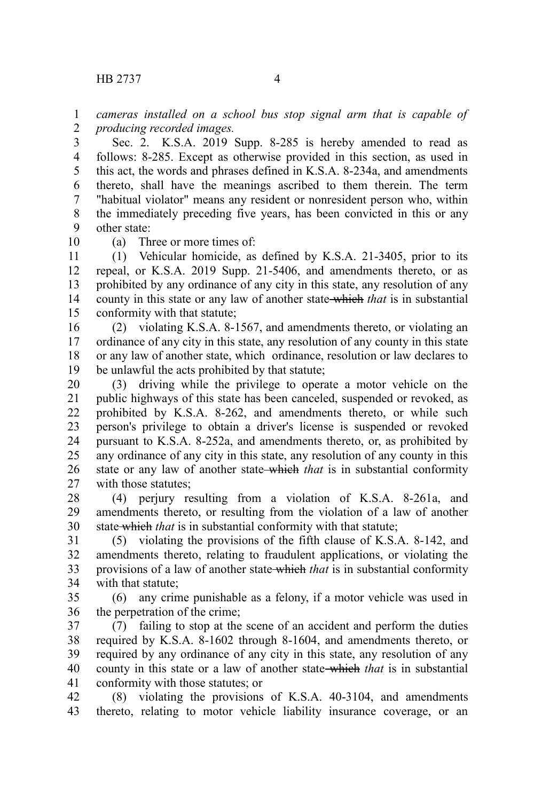*cameras installed on a school bus stop signal arm that is capable of producing recorded images.* 1 2

Sec. 2. K.S.A. 2019 Supp. 8-285 is hereby amended to read as follows: 8-285. Except as otherwise provided in this section, as used in this act, the words and phrases defined in K.S.A. 8-234a, and amendments thereto, shall have the meanings ascribed to them therein. The term "habitual violator" means any resident or nonresident person who, within the immediately preceding five years, has been convicted in this or any other state: 3 4 5 6 7 8 9

10

(a) Three or more times of:

(1) Vehicular homicide, as defined by K.S.A. 21-3405, prior to its repeal, or K.S.A. 2019 Supp. 21-5406, and amendments thereto, or as prohibited by any ordinance of any city in this state, any resolution of any county in this state or any law of another state which *that* is in substantial conformity with that statute; 11 12 13 14 15

(2) violating K.S.A. 8-1567, and amendments thereto, or violating an ordinance of any city in this state, any resolution of any county in this state or any law of another state, which ordinance, resolution or law declares to be unlawful the acts prohibited by that statute; 16 17 18 19

(3) driving while the privilege to operate a motor vehicle on the public highways of this state has been canceled, suspended or revoked, as prohibited by K.S.A. 8-262, and amendments thereto, or while such person's privilege to obtain a driver's license is suspended or revoked pursuant to K.S.A. 8-252a, and amendments thereto, or, as prohibited by any ordinance of any city in this state, any resolution of any county in this state or any law of another state-which *that* is in substantial conformity with those statutes; 20 21 22 23 24 25 26 27

(4) perjury resulting from a violation of K.S.A. 8-261a, and amendments thereto, or resulting from the violation of a law of another state which *that* is in substantial conformity with that statute; 28 29 30

(5) violating the provisions of the fifth clause of K.S.A. 8-142, and amendments thereto, relating to fraudulent applications, or violating the provisions of a law of another state which *that* is in substantial conformity with that statute: 31 32 33 34

(6) any crime punishable as a felony, if a motor vehicle was used in the perpetration of the crime; 35 36

(7) failing to stop at the scene of an accident and perform the duties required by K.S.A. 8-1602 through 8-1604, and amendments thereto, or required by any ordinance of any city in this state, any resolution of any county in this state or a law of another state which *that* is in substantial conformity with those statutes; or 37 38 39 40 41

(8) violating the provisions of K.S.A. 40-3104, and amendments thereto, relating to motor vehicle liability insurance coverage, or an 42 43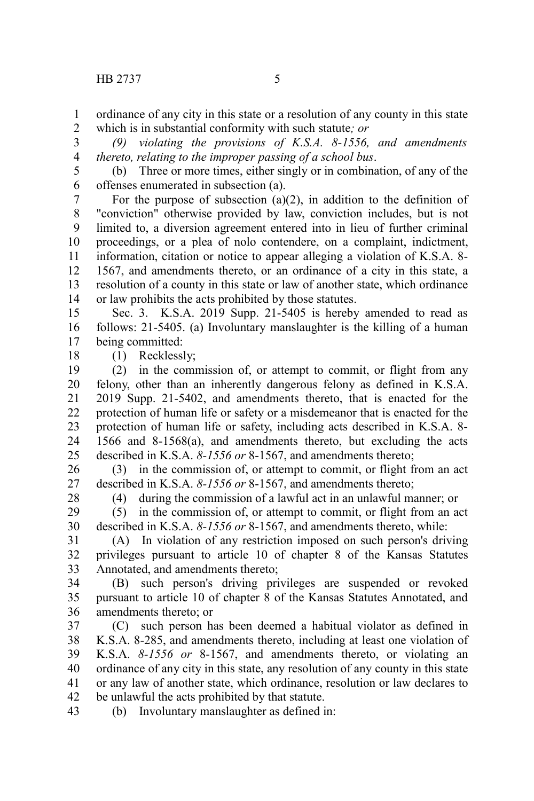ordinance of any city in this state or a resolution of any county in this state which is in substantial conformity with such statute*; or* 1 2

*(9) violating the provisions of K.S.A. 8-1556, and amendments thereto, relating to the improper passing of a school bus*. 3 4

(b) Three or more times, either singly or in combination, of any of the offenses enumerated in subsection (a). 5 6

For the purpose of subsection  $(a)(2)$ , in addition to the definition of "conviction" otherwise provided by law, conviction includes, but is not limited to, a diversion agreement entered into in lieu of further criminal proceedings, or a plea of nolo contendere, on a complaint, indictment, information, citation or notice to appear alleging a violation of K.S.A. 8- 1567, and amendments thereto, or an ordinance of a city in this state, a resolution of a county in this state or law of another state, which ordinance or law prohibits the acts prohibited by those statutes. 7 8 9 10 11 12 13 14

Sec. 3. K.S.A. 2019 Supp. 21-5405 is hereby amended to read as follows: 21-5405. (a) Involuntary manslaughter is the killing of a human being committed: 15 16 17

(1) Recklessly;

(2) in the commission of, or attempt to commit, or flight from any felony, other than an inherently dangerous felony as defined in K.S.A. 2019 Supp. 21-5402, and amendments thereto, that is enacted for the protection of human life or safety or a misdemeanor that is enacted for the protection of human life or safety, including acts described in K.S.A. 8- 1566 and 8-1568(a), and amendments thereto, but excluding the acts described in K.S.A. *8-1556 or* 8-1567, and amendments thereto; 19 20 21 22 23 24 25

(3) in the commission of, or attempt to commit, or flight from an act described in K.S.A. *8-1556 or* 8-1567, and amendments thereto; 26 27

28

18

(4) during the commission of a lawful act in an unlawful manner; or

(5) in the commission of, or attempt to commit, or flight from an act described in K.S.A. *8-1556 or* 8-1567, and amendments thereto, while: 29 30

(A) In violation of any restriction imposed on such person's driving privileges pursuant to article 10 of chapter 8 of the Kansas Statutes Annotated, and amendments thereto; 31 32 33

(B) such person's driving privileges are suspended or revoked pursuant to article 10 of chapter 8 of the Kansas Statutes Annotated, and amendments thereto; or 34 35 36

(C) such person has been deemed a habitual violator as defined in K.S.A. 8-285, and amendments thereto, including at least one violation of K.S.A. *8-1556 or* 8-1567, and amendments thereto, or violating an ordinance of any city in this state, any resolution of any county in this state or any law of another state, which ordinance, resolution or law declares to be unlawful the acts prohibited by that statute. 37 38 39 40 41 42

(b) Involuntary manslaughter as defined in: 43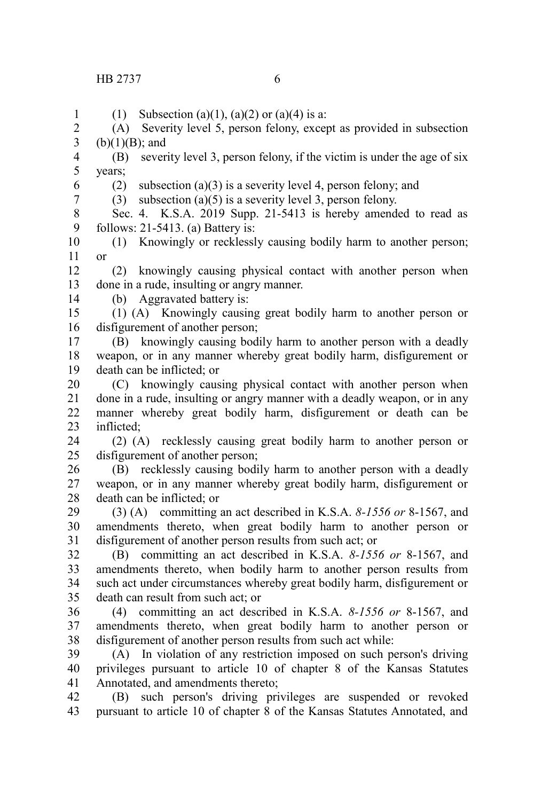(1) Subsection (a)(1), (a)(2) or (a)(4) is a:

(A) Severity level 5, person felony, except as provided in subsection  $(b)(1)(B)$ ; and 2 3

(B) severity level 3, person felony, if the victim is under the age of six years; 4 5

6

1

(2) subsection (a)(3) is a severity level 4, person felony; and

7

(3) subsection  $(a)(5)$  is a severity level 3, person felony.

Sec. 4. K.S.A. 2019 Supp. 21-5413 is hereby amended to read as follows: 21-5413. (a) Battery is: 8 9

(1) Knowingly or recklessly causing bodily harm to another person; or 10 11

(2) knowingly causing physical contact with another person when done in a rude, insulting or angry manner. 12 13

(b) Aggravated battery is: 14

(1) (A) Knowingly causing great bodily harm to another person or disfigurement of another person; 15 16

(B) knowingly causing bodily harm to another person with a deadly weapon, or in any manner whereby great bodily harm, disfigurement or death can be inflicted; or 17 18 19

(C) knowingly causing physical contact with another person when done in a rude, insulting or angry manner with a deadly weapon, or in any manner whereby great bodily harm, disfigurement or death can be inflicted; 20 21 22 23

(2) (A) recklessly causing great bodily harm to another person or disfigurement of another person; 24 25

(B) recklessly causing bodily harm to another person with a deadly weapon, or in any manner whereby great bodily harm, disfigurement or death can be inflicted; or 26 27 28

(3) (A) committing an act described in K.S.A. *8-1556 or* 8-1567, and amendments thereto, when great bodily harm to another person or disfigurement of another person results from such act; or 29 30 31

(B) committing an act described in K.S.A. *8-1556 or* 8-1567, and amendments thereto, when bodily harm to another person results from such act under circumstances whereby great bodily harm, disfigurement or death can result from such act; or 32 33 34 35

(4) committing an act described in K.S.A. *8-1556 or* 8-1567, and amendments thereto, when great bodily harm to another person or disfigurement of another person results from such act while: 36 37 38

(A) In violation of any restriction imposed on such person's driving privileges pursuant to article 10 of chapter 8 of the Kansas Statutes Annotated, and amendments thereto; 39 40 41

(B) such person's driving privileges are suspended or revoked pursuant to article 10 of chapter 8 of the Kansas Statutes Annotated, and 42 43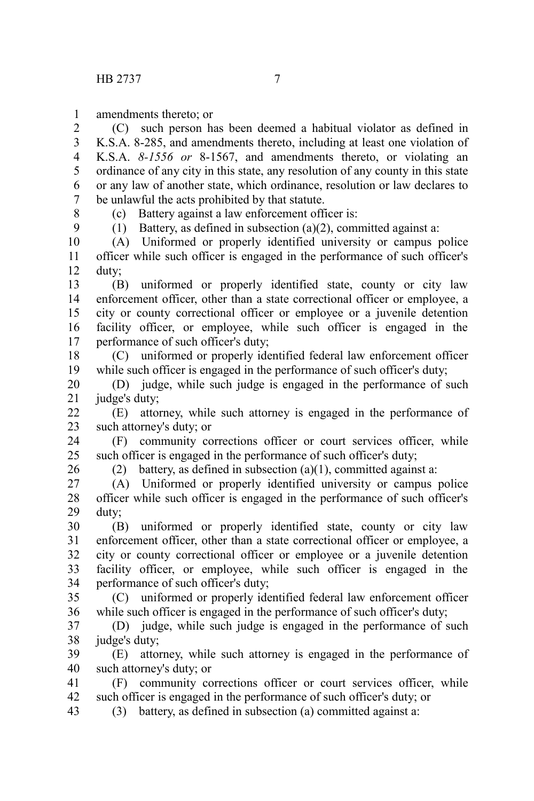amendments thereto; or 1

(C) such person has been deemed a habitual violator as defined in K.S.A. 8-285, and amendments thereto, including at least one violation of K.S.A. *8-1556 or* 8-1567, and amendments thereto, or violating an ordinance of any city in this state, any resolution of any county in this state or any law of another state, which ordinance, resolution or law declares to be unlawful the acts prohibited by that statute. 2 3 4 5 6 7

8 9 (c) Battery against a law enforcement officer is:

(1) Battery, as defined in subsection (a)(2), committed against a:

(A) Uniformed or properly identified university or campus police officer while such officer is engaged in the performance of such officer's duty; 10 11 12

(B) uniformed or properly identified state, county or city law enforcement officer, other than a state correctional officer or employee, a city or county correctional officer or employee or a juvenile detention facility officer, or employee, while such officer is engaged in the performance of such officer's duty; 13 14 15 16 17

(C) uniformed or properly identified federal law enforcement officer while such officer is engaged in the performance of such officer's duty; 18 19

(D) judge, while such judge is engaged in the performance of such judge's duty; 20 21

(E) attorney, while such attorney is engaged in the performance of such attorney's duty; or 22 23

(F) community corrections officer or court services officer, while such officer is engaged in the performance of such officer's duty; 24 25

26

(2) battery, as defined in subsection (a)(1), committed against a:

(A) Uniformed or properly identified university or campus police officer while such officer is engaged in the performance of such officer's duty; 27 28 29

(B) uniformed or properly identified state, county or city law enforcement officer, other than a state correctional officer or employee, a city or county correctional officer or employee or a juvenile detention facility officer, or employee, while such officer is engaged in the performance of such officer's duty; 30 31 32 33 34

(C) uniformed or properly identified federal law enforcement officer while such officer is engaged in the performance of such officer's duty; 35 36

(D) judge, while such judge is engaged in the performance of such judge's duty; 37 38

(E) attorney, while such attorney is engaged in the performance of such attorney's duty; or 39 40

(F) community corrections officer or court services officer, while such officer is engaged in the performance of such officer's duty; or 41 42

(3) battery, as defined in subsection (a) committed against a: 43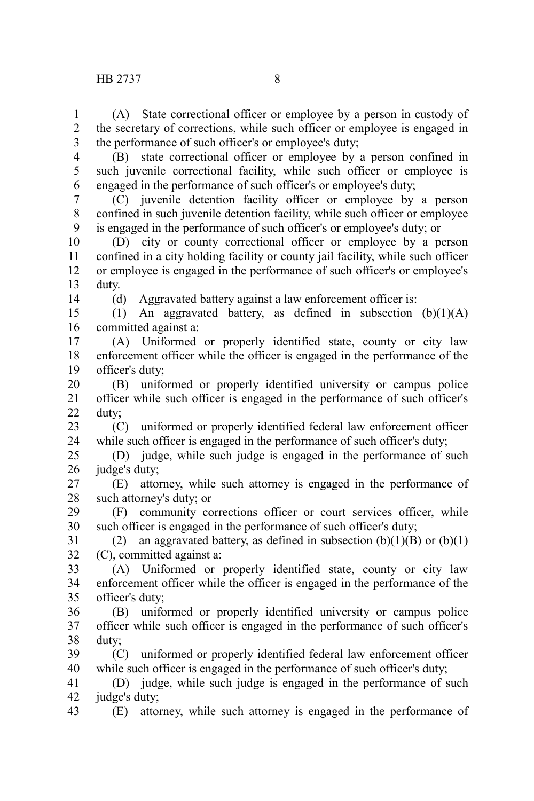(A) State correctional officer or employee by a person in custody of the secretary of corrections, while such officer or employee is engaged in the performance of such officer's or employee's duty; 1 2 3

4 5

(B) state correctional officer or employee by a person confined in such juvenile correctional facility, while such officer or employee is engaged in the performance of such officer's or employee's duty; 6

(C) juvenile detention facility officer or employee by a person confined in such juvenile detention facility, while such officer or employee is engaged in the performance of such officer's or employee's duty; or 7 8 9

(D) city or county correctional officer or employee by a person confined in a city holding facility or county jail facility, while such officer or employee is engaged in the performance of such officer's or employee's duty. 10 11 12 13

14

(d) Aggravated battery against a law enforcement officer is:

(1) An aggravated battery, as defined in subsection  $(b)(1)(A)$ committed against a: 15 16

(A) Uniformed or properly identified state, county or city law enforcement officer while the officer is engaged in the performance of the officer's duty; 17 18 19

(B) uniformed or properly identified university or campus police officer while such officer is engaged in the performance of such officer's duty; 20 21 22

(C) uniformed or properly identified federal law enforcement officer while such officer is engaged in the performance of such officer's duty; 23 24

(D) judge, while such judge is engaged in the performance of such judge's duty; 25 26

(E) attorney, while such attorney is engaged in the performance of such attorney's duty; or 27 28

(F) community corrections officer or court services officer, while such officer is engaged in the performance of such officer's duty; 29 30

(2) an aggravated battery, as defined in subsection  $(b)(1)(B)$  or  $(b)(1)$ (C), committed against a: 31 32

(A) Uniformed or properly identified state, county or city law enforcement officer while the officer is engaged in the performance of the officer's duty; 33 34 35

(B) uniformed or properly identified university or campus police officer while such officer is engaged in the performance of such officer's duty; 36 37 38

(C) uniformed or properly identified federal law enforcement officer while such officer is engaged in the performance of such officer's duty; 39 40

(D) judge, while such judge is engaged in the performance of such judge's duty; 41 42

(E) attorney, while such attorney is engaged in the performance of 43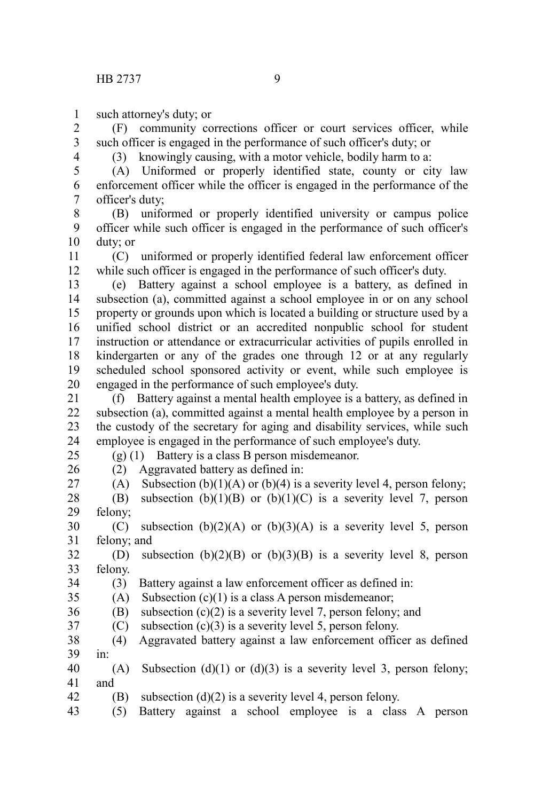such attorney's duty; or 1

(F) community corrections officer or court services officer, while such officer is engaged in the performance of such officer's duty; or 2 3

4

(3) knowingly causing, with a motor vehicle, bodily harm to a:

(A) Uniformed or properly identified state, county or city law enforcement officer while the officer is engaged in the performance of the officer's duty; 5 6 7

(B) uniformed or properly identified university or campus police officer while such officer is engaged in the performance of such officer's duty; or 8 9 10

(C) uniformed or properly identified federal law enforcement officer while such officer is engaged in the performance of such officer's duty. 11 12

(e) Battery against a school employee is a battery, as defined in subsection (a), committed against a school employee in or on any school property or grounds upon which is located a building or structure used by a unified school district or an accredited nonpublic school for student instruction or attendance or extracurricular activities of pupils enrolled in kindergarten or any of the grades one through 12 or at any regularly scheduled school sponsored activity or event, while such employee is engaged in the performance of such employee's duty. 13 14 15 16 17 18 19 20

(f) Battery against a mental health employee is a battery, as defined in subsection (a), committed against a mental health employee by a person in the custody of the secretary for aging and disability services, while such employee is engaged in the performance of such employee's duty. 21 22 23 24 25

(g) (1) Battery is a class B person misdemeanor.

26

(2) Aggravated battery as defined in:

(A) Subsection (b)(1)(A) or (b)(4) is a severity level 4, person felony; 27

(B) subsection  $(b)(1)(B)$  or  $(b)(1)(C)$  is a severity level 7, person felony; 28 29

(C) subsection  $(b)(2)(A)$  or  $(b)(3)(A)$  is a severity level 5, person felony; and 30 31

(D) subsection  $(b)(2)(B)$  or  $(b)(3)(B)$  is a severity level 8, person felony. 32 33

(3) Battery against a law enforcement officer as defined in: 34

35

(A) Subsection  $(c)(1)$  is a class A person misdemeanor;

 $(B)$  subsection  $(c)(2)$  is a severity level 7, person felony; and 36

(C) subsection  $(c)(3)$  is a severity level 5, person felony. 37

(4) Aggravated battery against a law enforcement officer as defined in: 38 39

(A) Subsection (d)(1) or (d)(3) is a severity level 3, person felony; and 40 41

(B) subsection  $(d)(2)$  is a severity level 4, person felony. 42

(5) Battery against a school employee is a class A person 43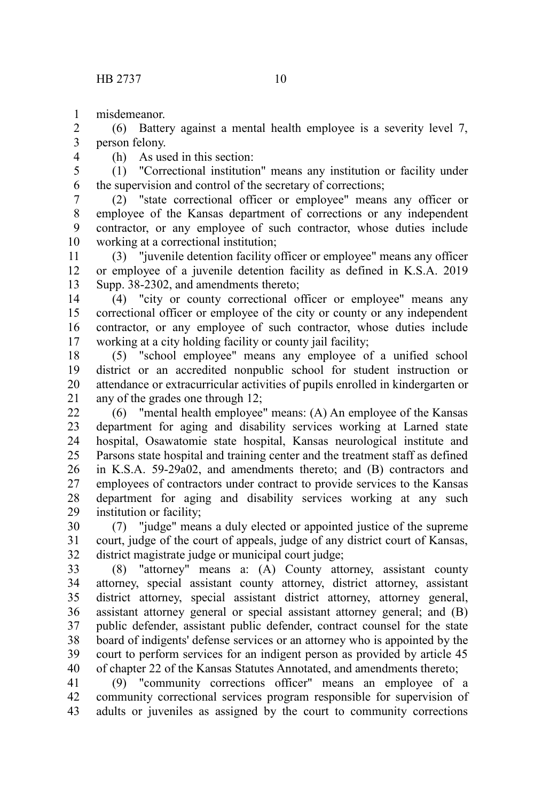misdemeanor. 1

(6) Battery against a mental health employee is a severity level 7, person felony. 2 3

4

(h) As used in this section:

(1) "Correctional institution" means any institution or facility under the supervision and control of the secretary of corrections; 5 6

(2) "state correctional officer or employee" means any officer or employee of the Kansas department of corrections or any independent contractor, or any employee of such contractor, whose duties include working at a correctional institution; 7 8 9 10

(3) "juvenile detention facility officer or employee" means any officer or employee of a juvenile detention facility as defined in K.S.A. 2019 Supp. 38-2302, and amendments thereto; 11 12 13

(4) "city or county correctional officer or employee" means any correctional officer or employee of the city or county or any independent contractor, or any employee of such contractor, whose duties include working at a city holding facility or county jail facility; 14 15 16 17

(5) "school employee" means any employee of a unified school district or an accredited nonpublic school for student instruction or attendance or extracurricular activities of pupils enrolled in kindergarten or any of the grades one through 12; 18 19 20 21

(6) "mental health employee" means: (A) An employee of the Kansas department for aging and disability services working at Larned state hospital, Osawatomie state hospital, Kansas neurological institute and Parsons state hospital and training center and the treatment staff as defined in K.S.A. 59-29a02, and amendments thereto; and (B) contractors and employees of contractors under contract to provide services to the Kansas department for aging and disability services working at any such institution or facility; 22 23 24 25 26 27 28 29

(7) "judge" means a duly elected or appointed justice of the supreme court, judge of the court of appeals, judge of any district court of Kansas, district magistrate judge or municipal court judge; 30 31 32

(8) "attorney" means a: (A) County attorney, assistant county attorney, special assistant county attorney, district attorney, assistant district attorney, special assistant district attorney, attorney general, assistant attorney general or special assistant attorney general; and (B) public defender, assistant public defender, contract counsel for the state board of indigents' defense services or an attorney who is appointed by the court to perform services for an indigent person as provided by article 45 of chapter 22 of the Kansas Statutes Annotated, and amendments thereto; 33 34 35 36 37 38 39 40

(9) "community corrections officer" means an employee of a community correctional services program responsible for supervision of adults or juveniles as assigned by the court to community corrections 41 42 43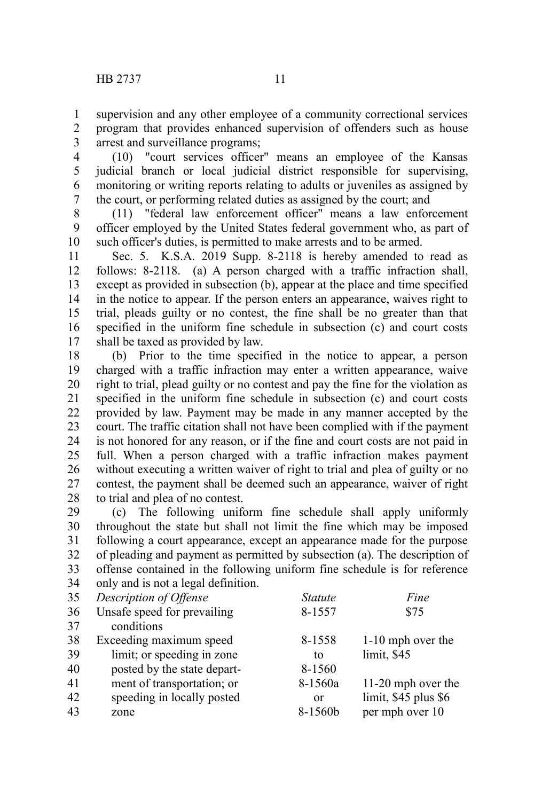supervision and any other employee of a community correctional services program that provides enhanced supervision of offenders such as house arrest and surveillance programs; 1 2 3

(10) "court services officer" means an employee of the Kansas judicial branch or local judicial district responsible for supervising, monitoring or writing reports relating to adults or juveniles as assigned by the court, or performing related duties as assigned by the court; and 4 5 6 7

(11) "federal law enforcement officer" means a law enforcement officer employed by the United States federal government who, as part of such officer's duties, is permitted to make arrests and to be armed. 8 9 10

Sec. 5. K.S.A. 2019 Supp. 8-2118 is hereby amended to read as follows: 8-2118. (a) A person charged with a traffic infraction shall, except as provided in subsection (b), appear at the place and time specified in the notice to appear. If the person enters an appearance, waives right to trial, pleads guilty or no contest, the fine shall be no greater than that specified in the uniform fine schedule in subsection (c) and court costs shall be taxed as provided by law. 11 12 13 14 15 16 17

(b) Prior to the time specified in the notice to appear, a person charged with a traffic infraction may enter a written appearance, waive right to trial, plead guilty or no contest and pay the fine for the violation as specified in the uniform fine schedule in subsection (c) and court costs provided by law. Payment may be made in any manner accepted by the court. The traffic citation shall not have been complied with if the payment is not honored for any reason, or if the fine and court costs are not paid in full. When a person charged with a traffic infraction makes payment without executing a written waiver of right to trial and plea of guilty or no contest, the payment shall be deemed such an appearance, waiver of right to trial and plea of no contest. 18 19 20 21 22 23 24 25 26 27 28

(c) The following uniform fine schedule shall apply uniformly throughout the state but shall not limit the fine which may be imposed following a court appearance, except an appearance made for the purpose of pleading and payment as permitted by subsection (a). The description of offense contained in the following uniform fine schedule is for reference only and is not a legal definition. 29 30 31 32 33 34

| 35 | Description of Offense      | <i>Statute</i> | Fine                 |
|----|-----------------------------|----------------|----------------------|
| 36 | Unsafe speed for prevailing | 8-1557         | \$75                 |
| 37 | conditions                  |                |                      |
| 38 | Exceeding maximum speed     | 8-1558         | 1-10 mph over the    |
| 39 | limit; or speeding in zone  | to             | limit, \$45          |
| 40 | posted by the state depart- | 8-1560         |                      |
| 41 | ment of transportation; or  | 8-1560a        | 11-20 mph over the   |
| 42 | speeding in locally posted  | or             | limit, \$45 plus \$6 |
| 43 | zone                        | 8-1560b        | per mph over 10      |
|    |                             |                |                      |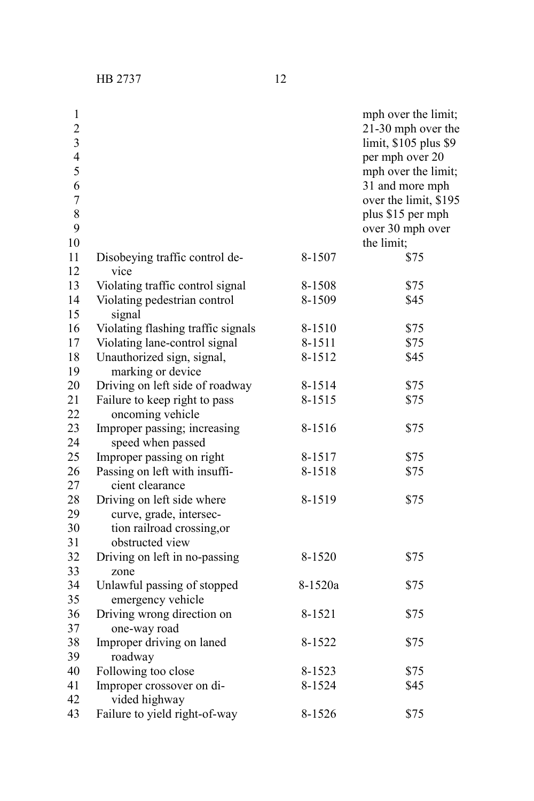| $\mathbf{1}$<br>$\overline{c}$<br>3<br>$\overline{4}$<br>5 |                                                       |         | mph over the limit;<br>21-30 mph over the<br>limit, \$105 plus \$9<br>per mph over 20<br>mph over the limit; |
|------------------------------------------------------------|-------------------------------------------------------|---------|--------------------------------------------------------------------------------------------------------------|
| 6                                                          |                                                       |         | 31 and more mph                                                                                              |
| $\overline{7}$<br>8                                        |                                                       |         | over the limit, \$195                                                                                        |
| 9                                                          |                                                       |         | plus \$15 per mph<br>over 30 mph over                                                                        |
| 10                                                         |                                                       |         | the limit;                                                                                                   |
| 11                                                         | Disobeying traffic control de-                        | 8-1507  | \$75                                                                                                         |
| 12                                                         | vice                                                  |         |                                                                                                              |
| 13                                                         | Violating traffic control signal                      | 8-1508  | \$75                                                                                                         |
| 14                                                         | Violating pedestrian control                          | 8-1509  | \$45                                                                                                         |
| 15                                                         | signal                                                |         |                                                                                                              |
| 16                                                         | Violating flashing traffic signals                    | 8-1510  | \$75                                                                                                         |
| 17                                                         | Violating lane-control signal                         | 8-1511  | \$75                                                                                                         |
| 18<br>19                                                   | Unauthorized sign, signal,<br>marking or device       | 8-1512  | \$45                                                                                                         |
| 20                                                         | Driving on left side of roadway                       | 8-1514  | \$75                                                                                                         |
| 21                                                         | Failure to keep right to pass                         | 8-1515  | \$75                                                                                                         |
| 22                                                         | oncoming vehicle                                      |         |                                                                                                              |
| 23                                                         | Improper passing; increasing                          | 8-1516  | \$75                                                                                                         |
| 24                                                         | speed when passed                                     |         |                                                                                                              |
| 25                                                         | Improper passing on right                             | 8-1517  | \$75                                                                                                         |
| 26                                                         | Passing on left with insuffi-                         | 8-1518  | \$75                                                                                                         |
| 27                                                         | cient clearance                                       |         |                                                                                                              |
| 28<br>29                                                   | Driving on left side where                            | 8-1519  | \$75                                                                                                         |
| 30                                                         | curve, grade, intersec-<br>tion railroad crossing, or |         |                                                                                                              |
| 31                                                         | obstructed view                                       |         |                                                                                                              |
| 32                                                         | Driving on left in no-passing                         | 8-1520  | \$75                                                                                                         |
| 33                                                         | zone                                                  |         |                                                                                                              |
| 34                                                         | Unlawful passing of stopped                           | 8-1520a | \$75                                                                                                         |
| 35                                                         | emergency vehicle                                     |         |                                                                                                              |
| 36                                                         | Driving wrong direction on                            | 8-1521  | \$75                                                                                                         |
| 37                                                         | one-way road                                          |         |                                                                                                              |
| 38                                                         | Improper driving on laned                             | 8-1522  | \$75                                                                                                         |
| 39                                                         | roadway                                               |         |                                                                                                              |
| 40                                                         | Following too close                                   | 8-1523  | \$75                                                                                                         |

Following too close 8-1523 \$75 Improper crossover on di- 8-1524 \$45

Failure to yield right-of-way 8-1526 \$75

vided highway

41 42 43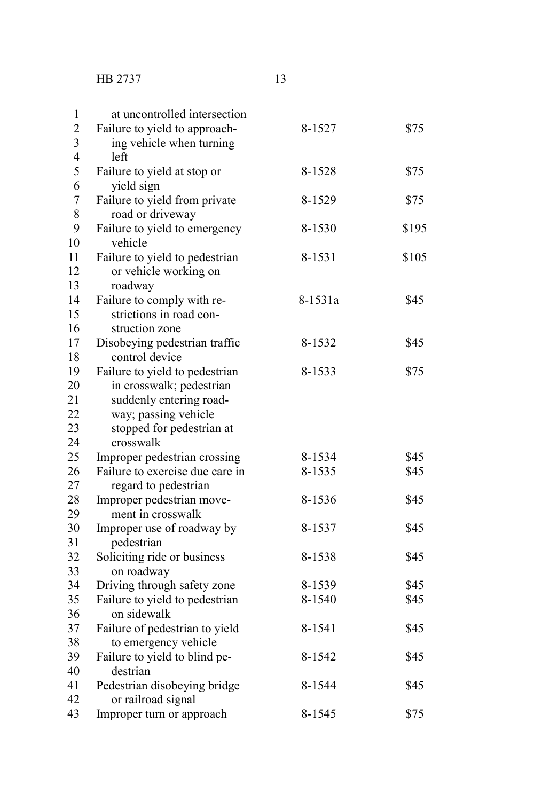| $\mathbf{1}$   | at uncontrolled intersection                      |         |       |
|----------------|---------------------------------------------------|---------|-------|
| $\overline{c}$ | Failure to yield to approach-                     | 8-1527  | \$75  |
| 3              | ing vehicle when turning                          |         |       |
| $\overline{4}$ | left                                              |         |       |
| 5              | Failure to yield at stop or                       | 8-1528  | \$75  |
| 6              | yield sign                                        |         |       |
| $\overline{7}$ | Failure to yield from private                     | 8-1529  | \$75  |
| 8              | road or driveway                                  |         |       |
| 9              | Failure to yield to emergency                     | 8-1530  | \$195 |
| 10             | vehicle                                           |         |       |
| 11             | Failure to yield to pedestrian                    | 8-1531  | \$105 |
| 12             | or vehicle working on                             |         |       |
| 13             | roadway                                           |         |       |
| 14             | Failure to comply with re-                        | 8-1531a | \$45  |
| 15             | strictions in road con-                           |         |       |
| 16             | struction zone                                    |         |       |
| 17             | Disobeying pedestrian traffic                     | 8-1532  | \$45  |
| 18             | control device                                    |         |       |
| 19             | Failure to yield to pedestrian                    | 8-1533  | \$75  |
| 20             | in crosswalk; pedestrian                          |         |       |
| 21<br>22       | suddenly entering road-                           |         |       |
| 23             | way; passing vehicle<br>stopped for pedestrian at |         |       |
| 24             | crosswalk                                         |         |       |
| 25             | Improper pedestrian crossing                      | 8-1534  | \$45  |
| 26             | Failure to exercise due care in                   | 8-1535  | \$45  |
| 27             | regard to pedestrian                              |         |       |
| 28             | Improper pedestrian move-                         | 8-1536  | \$45  |
| 29             | ment in crosswalk                                 |         |       |
| 30             | Improper use of roadway by                        | 8-1537  | \$45  |
| 31             | pedestrian                                        |         |       |
| 32             | Soliciting ride or business                       | 8-1538  | \$45  |
| 33             | on roadway                                        |         |       |
| 34             | Driving through safety zone                       | 8-1539  | \$45  |
| 35             | Failure to yield to pedestrian                    | 8-1540  | \$45  |
| 36             | on sidewalk                                       |         |       |
| 37             | Failure of pedestrian to yield                    | 8-1541  | \$45  |
| 38             | to emergency vehicle                              |         |       |
| 39             | Failure to yield to blind pe-                     | 8-1542  | \$45  |
| 40             | destrian                                          |         |       |
| 41             | Pedestrian disobeying bridge                      | 8-1544  | \$45  |
| 42             | or railroad signal                                |         |       |
| 43             | Improper turn or approach                         | 8-1545  | \$75  |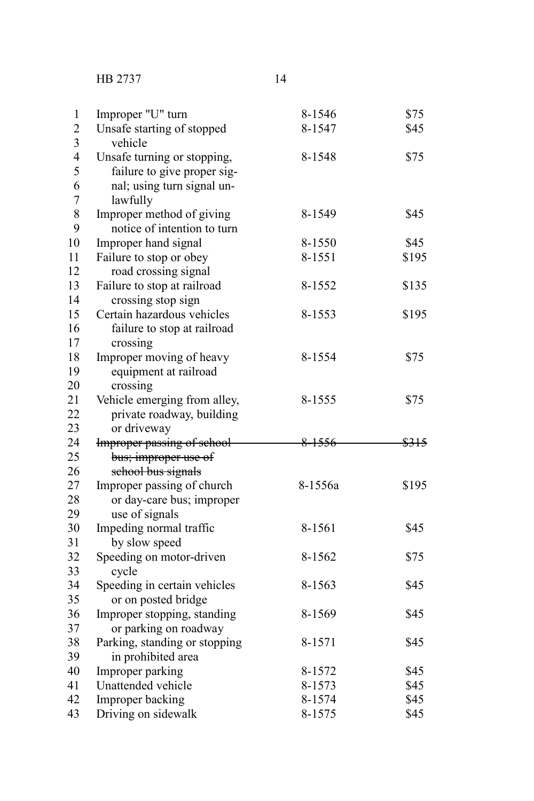HB 2737 14

| 1                       | Improper "U" turn             | 8-1546  | \$75  |
|-------------------------|-------------------------------|---------|-------|
| $\overline{c}$          | Unsafe starting of stopped    | 8-1547  | \$45  |
| $\overline{\mathbf{3}}$ | vehicle                       |         |       |
| $\overline{4}$          | Unsafe turning or stopping,   | 8-1548  | \$75  |
| 5                       | failure to give proper sig-   |         |       |
| 6                       | nal; using turn signal un-    |         |       |
| $\overline{7}$          | lawfully                      |         |       |
| 8                       | Improper method of giving     | 8-1549  | \$45  |
| 9                       | notice of intention to turn   |         |       |
| 10                      | Improper hand signal          | 8-1550  | \$45  |
| 11                      | Failure to stop or obey       | 8-1551  | \$195 |
| 12                      | road crossing signal          |         |       |
| 13                      | Failure to stop at railroad   | 8-1552  | \$135 |
| 14                      | crossing stop sign            |         |       |
| 15                      | Certain hazardous vehicles    | 8-1553  | \$195 |
| 16                      | failure to stop at railroad   |         |       |
| 17                      | crossing                      |         |       |
| 18                      | Improper moving of heavy      | 8-1554  | \$75  |
| 19                      | equipment at railroad         |         |       |
| 20                      | crossing                      |         |       |
| 21                      | Vehicle emerging from alley,  | 8-1555  | \$75  |
| 22                      | private roadway, building     |         |       |
| 23                      | or driveway                   |         |       |
| 24                      | Improper passing of school    | 8-1556  | \$315 |
| 25                      | bus; improper use of          |         |       |
| 26                      | school bus signals            |         |       |
| 27                      | Improper passing of church    | 8-1556a | \$195 |
| 28                      | or day-care bus; improper     |         |       |
| 29                      | use of signals                |         |       |
| 30                      | Impeding normal traffic       | 8-1561  | \$45  |
| 31                      | by slow speed                 |         |       |
| 32                      | Speeding on motor-driven      | 8-1562  | \$75  |
| 33                      | cycle                         |         |       |
| 34                      | Speeding in certain vehicles  | 8-1563  | \$45  |
| 35                      | or on posted bridge           |         |       |
| 36                      | Improper stopping, standing   | 8-1569  | \$45  |
| 37                      | or parking on roadway         |         |       |
| 38                      | Parking, standing or stopping | 8-1571  | \$45  |
| 39                      | in prohibited area            |         |       |
| 40                      | Improper parking              | 8-1572  | \$45  |
| 41                      | Unattended vehicle            | 8-1573  | \$45  |
| 42                      | Improper backing              | 8-1574  | \$45  |
| 43                      | Driving on sidewalk           | 8-1575  | \$45  |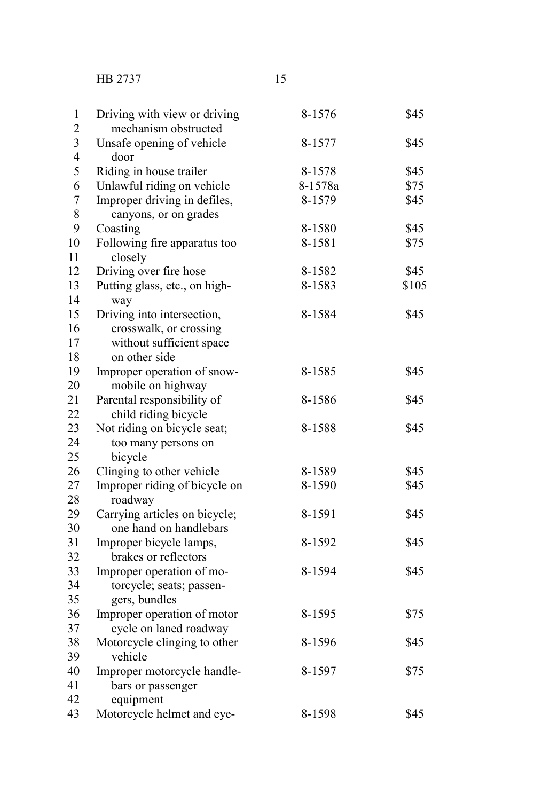HB 2737 15

| 1                       | Driving with view or driving            | 8-1576  | \$45  |
|-------------------------|-----------------------------------------|---------|-------|
| $\overline{c}$          | mechanism obstructed                    |         |       |
| $\overline{\mathbf{3}}$ | Unsafe opening of vehicle               | 8-1577  | \$45  |
| $\overline{4}$          | door                                    |         |       |
| 5                       | Riding in house trailer                 | 8-1578  | \$45  |
| 6                       | Unlawful riding on vehicle              | 8-1578a | \$75  |
| $\overline{7}$          | Improper driving in defiles,            | 8-1579  | \$45  |
| 8                       | canyons, or on grades                   |         |       |
| 9                       | Coasting                                | 8-1580  | \$45  |
| 10<br>11                | Following fire apparatus too<br>closely | 8-1581  | \$75  |
| 12                      | Driving over fire hose                  | 8-1582  | \$45  |
| 13                      | Putting glass, etc., on high-           | 8-1583  | \$105 |
| 14                      | way                                     |         |       |
| 15                      | Driving into intersection,              | 8-1584  | \$45  |
| 16                      | crosswalk, or crossing                  |         |       |
| 17                      | without sufficient space                |         |       |
| 18                      | on other side                           |         |       |
| 19                      | Improper operation of snow-             | 8-1585  | \$45  |
| 20                      | mobile on highway                       |         |       |
| 21                      | Parental responsibility of              | 8-1586  | \$45  |
| 22                      | child riding bicycle                    |         |       |
| 23                      | Not riding on bicycle seat;             | 8-1588  | \$45  |
| 24                      | too many persons on                     |         |       |
| 25                      | bicycle                                 |         |       |
| 26                      | Clinging to other vehicle               | 8-1589  | \$45  |
| 27                      | Improper riding of bicycle on           | 8-1590  | \$45  |
| 28                      | roadway                                 |         |       |
| 29                      | Carrying articles on bicycle;           | 8-1591  | \$45  |
| 30                      | one hand on handlebars                  |         |       |
| 31                      | Improper bicycle lamps,                 | 8-1592  | \$45  |
| 32                      | brakes or reflectors                    |         |       |
| 33                      | Improper operation of mo-               | 8-1594  | \$45  |
| 34                      | torcycle; seats; passen-                |         |       |
| 35                      | gers, bundles                           |         |       |
| 36                      | Improper operation of motor             | 8-1595  | \$75  |
| 37                      | cycle on laned roadway                  |         |       |
| 38                      | Motorcycle clinging to other            | 8-1596  | \$45  |
| 39                      | vehicle                                 |         |       |
| 40                      | Improper motorcycle handle-             | 8-1597  | \$75  |
| 41                      | bars or passenger                       |         |       |
| 42                      | equipment                               |         |       |
| 43                      | Motorcycle helmet and eye-              | 8-1598  | \$45  |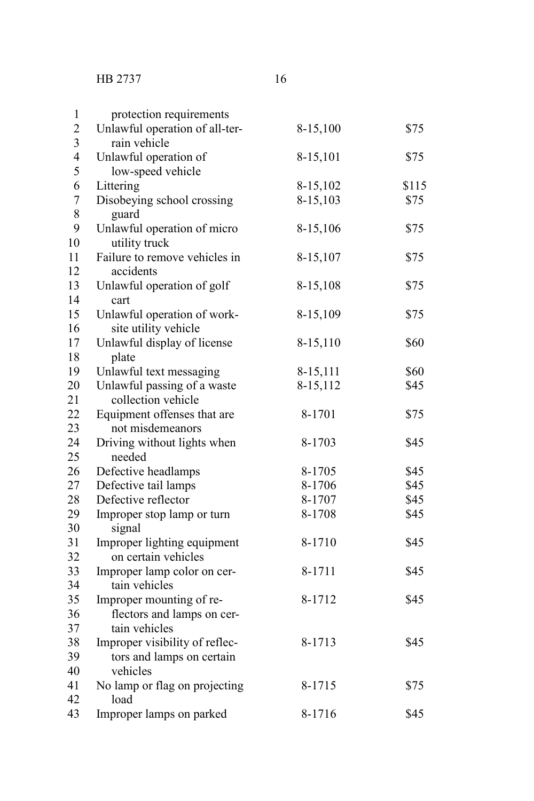123456789

 $\mathbf{1}$  $\overline{2}$  $\overline{3}$  $\overline{4}$  $\overline{5}$ 6  $\boldsymbol{7}$ 8 9

tain vehicles

vehicles

load

tors and lamps on certain

| protection requirements                                |          |       |
|--------------------------------------------------------|----------|-------|
| Unlawful operation of all-ter-                         | 8-15,100 | \$75  |
| rain vehicle                                           |          |       |
| Unlawful operation of<br>low-speed vehicle             | 8-15,101 | \$75  |
| Littering                                              | 8-15,102 | \$115 |
| Disobeying school crossing<br>guard                    | 8-15,103 | \$75  |
| Unlawful operation of micro<br>utility truck           | 8-15,106 | \$75  |
| Failure to remove vehicles in<br>accidents             | 8-15,107 | \$75  |
| Unlawful operation of golf<br>cart                     | 8-15,108 | \$75  |
| Unlawful operation of work-<br>site utility vehicle    | 8-15,109 | \$75  |
| Unlawful display of license<br>plate                   | 8-15,110 | \$60  |
| Unlawful text messaging                                | 8-15,111 | \$60  |
| Unlawful passing of a waste<br>collection vehicle      | 8-15,112 | \$45  |
| Equipment offenses that are<br>not misdemeanors        | 8-1701   | \$75  |
| Driving without lights when<br>needed                  | 8-1703   | \$45  |
| Defective headlamps                                    | 8-1705   | \$45  |
| Defective tail lamps                                   | 8-1706   | \$45  |
| Defective reflector                                    | 8-1707   | \$45  |
| Improper stop lamp or turn<br>signal                   | 8-1708   | \$45  |
| Improper lighting equipment<br>on certain vehicles     | 8-1710   | \$45  |
| Improper lamp color on cer-<br>tain vehicles           | 8-1711   | \$45  |
| Improper mounting of re-<br>flectors and lamps on cer- | 8-1712   | \$45  |

Improper visibility of reflec- 8-1713 \$45

No lamp or flag on projecting 8-1715 \$75

Improper lamps on parked 8-1716 \$45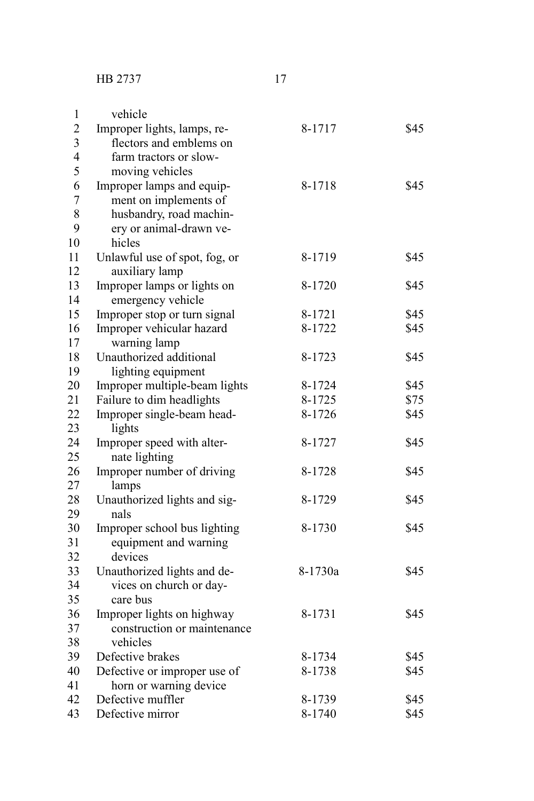vehicles

Defective or improper use of horn or warning device

| 1              | vehicle                       |         |      |
|----------------|-------------------------------|---------|------|
| $\overline{2}$ | Improper lights, lamps, re-   | 8-1717  | \$45 |
| 3              | flectors and emblems on       |         |      |
| $\overline{4}$ | farm tractors or slow-        |         |      |
| 5              | moving vehicles               |         |      |
| 6              | Improper lamps and equip-     | 8-1718  | \$45 |
| $\overline{7}$ | ment on implements of         |         |      |
| 8              | husbandry, road machin-       |         |      |
| 9              | ery or animal-drawn ve-       |         |      |
| 10             | hicles                        |         |      |
| 11             | Unlawful use of spot, fog, or | 8-1719  | \$45 |
| 12             | auxiliary lamp                |         |      |
| 13             | Improper lamps or lights on   | 8-1720  | \$45 |
| 14             | emergency vehicle             |         |      |
| 15             | Improper stop or turn signal  | 8-1721  | \$45 |
| 16             | Improper vehicular hazard     | 8-1722  | \$45 |
| 17             | warning lamp                  |         |      |
| 18             | Unauthorized additional       | 8-1723  | \$45 |
| 19             | lighting equipment            |         |      |
| 20             | Improper multiple-beam lights | 8-1724  | \$45 |
| 21             | Failure to dim headlights     | 8-1725  | \$75 |
| 22             | Improper single-beam head-    | 8-1726  | \$45 |
| 23             | lights                        |         |      |
| 24             | Improper speed with alter-    | 8-1727  | \$45 |
| 25             | nate lighting                 |         |      |
| 26             | Improper number of driving    | 8-1728  | \$45 |
| 27             | lamps                         |         |      |
| 28             | Unauthorized lights and sig-  | 8-1729  | \$45 |
| 29             | nals                          |         |      |
| 30             | Improper school bus lighting  | 8-1730  | \$45 |
| 31             | equipment and warning         |         |      |
| 32             | devices                       |         |      |
| 33             | Unauthorized lights and de-   | 8-1730a | \$45 |
| 34             | vices on church or day-       |         |      |
| 35             | care bus                      |         |      |
| 36             | Improper lights on highway    | 8-1731  | \$45 |
| 37             | construction or maintenance   |         |      |

Defective brakes 8-1734 \$45<br>Defective or improper use of 8-1738 \$45

Defective muffler  $8-1739$   $$45$ Defective mirror 8-1740 \$45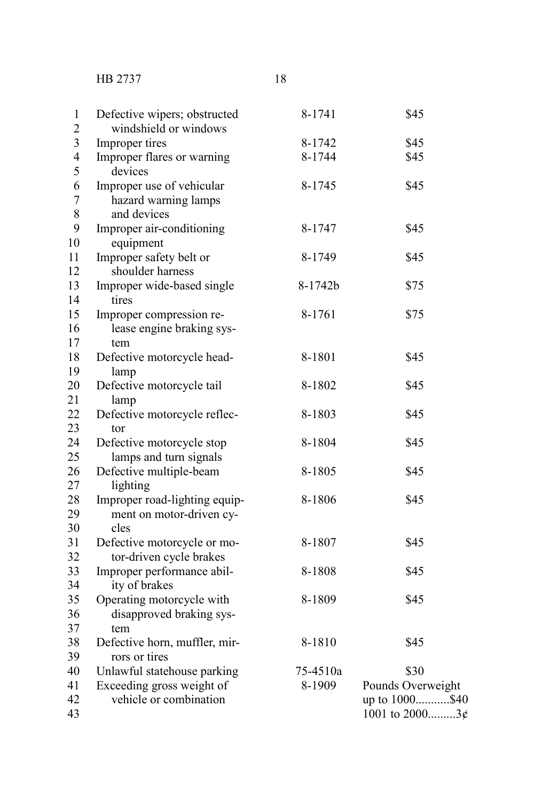HB 2737 18

| Defective wipers; obstructed<br>windshield or windows | 8-1741  | \$45 |
|-------------------------------------------------------|---------|------|
| Improper tires                                        | 8-1742  | \$45 |
| Improper flares or warning                            | 8-1744  | \$45 |
| devices                                               |         |      |
| Improper use of vehicular                             | 8-1745  | \$45 |
| hazard warning lamps                                  |         |      |
| and devices                                           |         |      |
| Improper air-conditioning                             | 8-1747  | \$45 |
| equipment                                             |         |      |
| Improper safety belt or                               | 8-1749  | \$45 |
| shoulder harness                                      |         |      |
| Improper wide-based single                            | 8-1742b | \$75 |
| tires                                                 |         |      |
| Improper compression re-                              | 8-1761  | \$75 |
| lease engine braking sys-                             |         |      |
| tem                                                   |         |      |
|                                                       | 8-1801  | \$45 |
| Defective motorcycle head-                            |         |      |
| lamp                                                  | 8-1802  | \$45 |
| Defective motorcycle tail                             |         |      |
| lamp                                                  | 8-1803  | \$45 |
| Defective motorcycle reflec-                          |         |      |
| tor                                                   |         |      |
| Defective motorcycle stop                             | 8-1804  | \$45 |
| lamps and turn signals                                |         |      |
| Defective multiple-beam                               | 8-1805  | \$45 |
| lighting                                              |         |      |
| Improper road-lighting equip-                         | 8-1806  | \$45 |
| ment on motor-driven cy-                              |         |      |
| cles                                                  |         |      |
| Defective motorcycle or mo-                           | 8-1807  | \$45 |
| tor-driven cycle brakes                               |         |      |
| Improper performance abil-                            | 8-1808  | \$45 |
| ity of brakes                                         |         |      |
| Operating motorcycle with                             | 8-1809  | \$45 |
| disapproved braking sys-                              |         |      |
| tem                                                   |         |      |
| Defective horn, muffler, mir-                         | 8-1810  | \$45 |
| rors or tires                                         |         |      |

Unlawful statehouse parking 75-4510a \$30 Exceeding gross weight of 8-1909 Pounds Overweight vehicle or combination up to 1000...........\$40  $1001$  to  $2000$ .........3¢ 40 41 42 43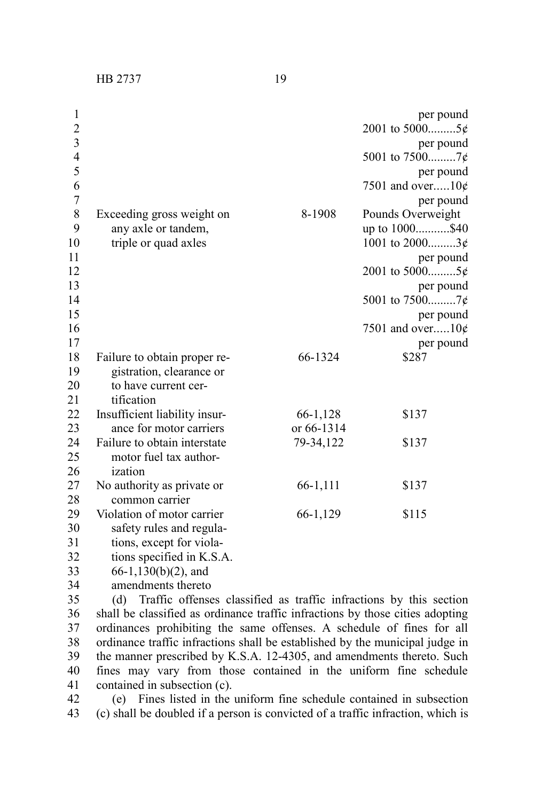HB 2737 19

| 1                       |                                                  |            | per pound                           |
|-------------------------|--------------------------------------------------|------------|-------------------------------------|
| $\overline{2}$          |                                                  |            | 2001 to 50005¢                      |
| $\overline{\mathbf{3}}$ |                                                  |            | per pound                           |
| $\overline{4}$          |                                                  |            |                                     |
| 5                       |                                                  |            | per pound                           |
| 6<br>$\sqrt{ }$         |                                                  |            | 7501 and over $10¢$                 |
| $\,$ 8 $\,$             |                                                  |            | per pound                           |
| 9                       | Exceeding gross weight on<br>any axle or tandem, | 8-1908     | Pounds Overweight<br>up to 1000\$40 |
| 10                      | triple or quad axles                             |            | 1001 to $2000$ 3¢                   |
| 11                      |                                                  |            | per pound                           |
| 12                      |                                                  |            | 2001 to 50005¢                      |
| 13                      |                                                  |            | per pound                           |
| 14                      |                                                  |            | 5001 to $7500$ 7¢                   |
| 15                      |                                                  |            | per pound                           |
| 16                      |                                                  |            | 7501 and over10 $\phi$              |
| 17                      |                                                  |            | per pound                           |
| 18                      | Failure to obtain proper re-                     | 66-1324    | \$287                               |
| 19                      | gistration, clearance or                         |            |                                     |
| 20                      | to have current cer-                             |            |                                     |
| 21                      | tification                                       |            |                                     |
| 22                      | Insufficient liability insur-                    | 66-1,128   | \$137                               |
| 23                      | ance for motor carriers                          | or 66-1314 |                                     |
| 24                      | Failure to obtain interstate                     | 79-34,122  | \$137                               |
| 25                      | motor fuel tax author-                           |            |                                     |
| 26                      | ization                                          |            |                                     |
| 27                      | No authority as private or                       | 66-1,111   | \$137                               |
| 28                      | common carrier                                   |            |                                     |
| 29                      | Violation of motor carrier                       | 66-1,129   | \$115                               |
| 30                      | safety rules and regula-                         |            |                                     |
| 31                      | tions, except for viola-                         |            |                                     |
| 32                      | tions specified in K.S.A.                        |            |                                     |

66-1,130(b)(2), and 33

amendments thereto 34

(d) Traffic offenses classified as traffic infractions by this section shall be classified as ordinance traffic infractions by those cities adopting ordinances prohibiting the same offenses. A schedule of fines for all ordinance traffic infractions shall be established by the municipal judge in the manner prescribed by K.S.A. 12-4305, and amendments thereto. Such fines may vary from those contained in the uniform fine schedule contained in subsection (c). 35 36 37 38 39 40 41

(e) Fines listed in the uniform fine schedule contained in subsection (c) shall be doubled if a person is convicted of a traffic infraction, which is 42 43